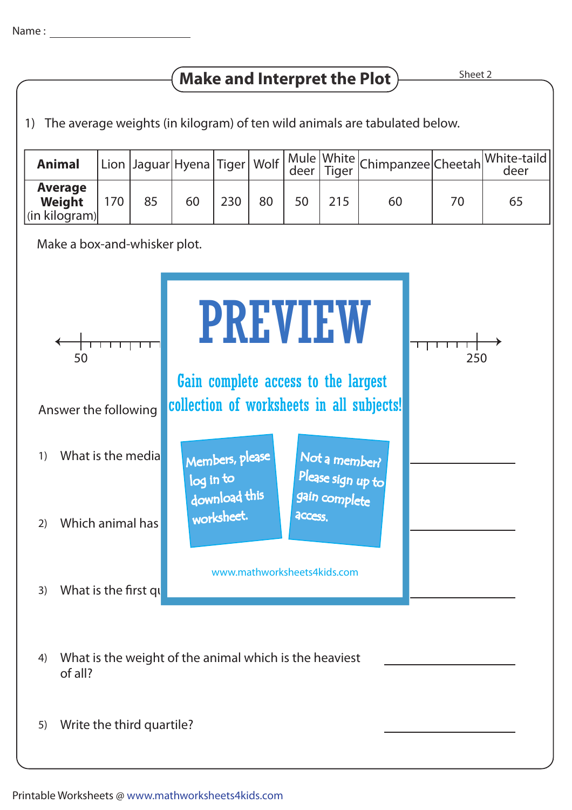## **Make and Interpret the Plot**  $\frac{\text{Sheet 2}}{\text{Sheet 2}}$

1) The average weights (in kilogram) of ten wild animals are tabulated below.

| <b>Animal</b>                                     |     |    |    |     |    |    |     | Lion  Jaguar Hyena Tiger   Wolf   Mule   White   Chimpanzee   Cheetah   White-taild |    |    |
|---------------------------------------------------|-----|----|----|-----|----|----|-----|-------------------------------------------------------------------------------------|----|----|
| <b>Average</b><br>Weight<br>$\vert$ (in kilogram) | 170 | 85 | 60 | 230 | 80 | 50 | 215 | 60                                                                                  | 70 | 65 |

Make a box-and-whisker plot.